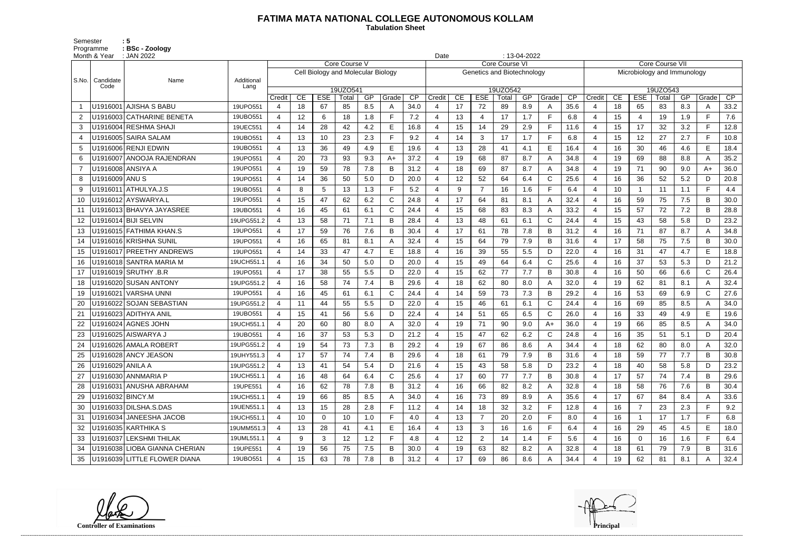## **FATIMA MATA NATIONAL COLLEGE AUTONOMOUS KOLLAM**

Semester : 5 Programme **: BSc - Zoology**  **Tabulation Sheet** 

|       | Month & Year      | : JAN 2022                    | $: 13-04-2022$<br>Date<br>Core Course VII<br>Core Course VI |                          |    |                                    |               |     |              |      |        |    |              |                            |     |              |                 |                             |    |                |          |     |                                                                                                                                                                                             |      |  |  |  |  |  |
|-------|-------------------|-------------------------------|-------------------------------------------------------------|--------------------------|----|------------------------------------|---------------|-----|--------------|------|--------|----|--------------|----------------------------|-----|--------------|-----------------|-----------------------------|----|----------------|----------|-----|---------------------------------------------------------------------------------------------------------------------------------------------------------------------------------------------|------|--|--|--|--|--|
|       | Candidate         |                               |                                                             |                          |    |                                    | Core Course V |     |              |      |        |    |              |                            |     |              |                 |                             |    |                |          |     |                                                                                                                                                                                             |      |  |  |  |  |  |
| S.No. |                   | Name                          | Additional                                                  |                          |    | Cell Biology and Molecular Biology |               |     |              |      |        |    |              | Genetics and Biotechnology |     |              |                 | Microbiology and Immunology |    |                |          |     |                                                                                                                                                                                             |      |  |  |  |  |  |
|       | Code              |                               | Lang                                                        |                          |    |                                    | 19UZO541      |     |              |      |        |    |              | 19UZO542                   |     |              |                 |                             |    |                | 19UZO543 |     | CP<br>Grade<br>A<br>F.<br>F.<br>E.<br>E<br>A<br>$A+$<br>D<br>$\blacksquare$<br>B<br>B<br>D<br>A<br>B<br>E<br>D<br>$\mathsf{C}$<br>A<br>$\mathsf{C}$<br>A<br>E<br>A<br>D<br>B<br>D<br>B<br>B |      |  |  |  |  |  |
|       |                   |                               |                                                             | Credit                   | CE | <b>ESE</b>                         | Total         | GP  | Grade        | CP   | Credit | CE | <b>ESE</b>   | Total                      | GP  | Grade        | $\overline{CP}$ | Credit                      | CE | <b>ESE</b>     | Total    | GP  |                                                                                                                                                                                             |      |  |  |  |  |  |
|       |                   | U1916001 AJISHA S BABU        | 19UPO551                                                    | 4                        | 18 | 67                                 | 85            | 8.5 |              | 34.0 |        | 17 | 72           | 89                         | 8.9 | A            | 35.6            | -4                          | 18 | 65             | 83       | 8.3 |                                                                                                                                                                                             | 33.2 |  |  |  |  |  |
| 2     |                   | U1916003 CATHARINE BENETA     | 19UBO551                                                    | $\overline{4}$           | 12 | 6                                  | 18            | 1.8 |              | 7.2  |        | 13 | 4            | 17                         | 1.7 | E            | 6.8             | $\overline{4}$              | 15 | $\overline{4}$ | 19       | 1.9 |                                                                                                                                                                                             | 7.6  |  |  |  |  |  |
| 3     |                   | U1916004 RESHMA SHAJI         | 19UEC551                                                    | 4                        | 14 | 28                                 | 42            | 4.2 | Е            | 16.8 |        | 15 | 14           | 29                         | 2.9 | E            | 11.6            | 4                           | 15 | 17             | 32       | 3.2 |                                                                                                                                                                                             | 12.8 |  |  |  |  |  |
|       |                   | U1916005 SAIRA SALAM          | 19UBO551                                                    | $\overline{4}$           | 13 | 10                                 | 23            | 2.3 |              | 9.2  |        | 14 | 3            | 17                         | 1.7 | E            | 6.8             | $\overline{4}$              | 15 | 12             | 27       | 2.7 |                                                                                                                                                                                             | 10.8 |  |  |  |  |  |
| 5     |                   | U1916006 RENJI EDWIN          | 19UBO551                                                    | $\overline{\mathcal{A}}$ | 13 | 36                                 | 49            | 4.9 | E            | 19.6 |        | 13 | 28           | 41                         | 4.1 | $\mathsf E$  | 16.4            | $\overline{4}$              | 16 | 30             | 46       | 4.6 |                                                                                                                                                                                             | 18.4 |  |  |  |  |  |
| 6     |                   | U1916007 ANOOJA RAJENDRAN     | 19UPO551                                                    | 4                        | 20 | 73                                 | 93            | 9.3 | $A+$         | 37.2 |        | 19 | 68           | 87                         | 8.7 | $\mathsf{A}$ | 34.8            |                             | 19 | 69             | 88       | 8.8 |                                                                                                                                                                                             | 35.2 |  |  |  |  |  |
|       | U1916008 ANSIYA A |                               | 19UPO551                                                    | $\overline{\mathcal{A}}$ | 19 | 59                                 | 78            | 7.8 | B            | 31.2 |        | 18 | 69           | 87                         | 8.7 | A            | 34.8            | 4                           | 19 | 71             | 90       | 9.0 |                                                                                                                                                                                             | 36.0 |  |  |  |  |  |
|       | U1916009 ANU S    |                               | 19UPO551                                                    | $\overline{\mathcal{A}}$ | 14 | 36                                 | 50            | 5.0 | D            | 20.0 |        | 12 | 52           | 64                         | 6.4 | $\mathsf{C}$ | 25.6            | $\overline{4}$              | 16 | 36             | 52       | 5.2 |                                                                                                                                                                                             | 20.8 |  |  |  |  |  |
| -9    |                   | U1916011 ATHULYA.J.S          | 19UBO551                                                    |                          | 8  | 5                                  | 13            | 1.3 |              | 5.2  |        | 9  | 7            | 16                         | 1.6 | F            | 6.4             | $\overline{4}$              | 10 |                | 11       | 1.1 |                                                                                                                                                                                             | 4.4  |  |  |  |  |  |
| 10    |                   | U1916012 AYSWARYA.L           | 19UPO551                                                    | $\overline{4}$           | 15 | 47                                 | 62            | 6.2 | $\mathsf{C}$ | 24.8 |        | 17 | 64           | 81                         | 8.1 | $\mathsf{A}$ | 32.4            | $\overline{4}$              | 16 | 59             | 75       | 7.5 |                                                                                                                                                                                             | 30.0 |  |  |  |  |  |
|       |                   | U1916013 BHAVYA JAYASREE      | 19UBO551                                                    | 4                        | 16 | 45                                 | 61            | 6.1 | C            | 24.4 |        | 15 | 68           | 83                         | 8.3 | $\mathsf{A}$ | 33.2            | $\boldsymbol{\Delta}$       | 15 | 57             | 72       | 7.2 |                                                                                                                                                                                             | 28.8 |  |  |  |  |  |
| 12    |                   | U1916014 BIJI SELVIN          | 19UPG551.2                                                  | $\boldsymbol{\Delta}$    | 13 | 58                                 | 71            | 7.1 | B            | 28.4 |        | 13 | 48           | 61                         | 6.1 | $\mathsf{C}$ | 24.4            | -4                          | 15 | 43             | 58       | 5.8 |                                                                                                                                                                                             | 23.2 |  |  |  |  |  |
| 13    |                   | U1916015 FATHIMA KHAN.S       | 19UPO551                                                    | $\overline{\mathcal{A}}$ | 17 | 59                                 | 76            | 7.6 | B            | 30.4 |        | 17 | 61           | 78                         | 7.8 | B            | 31.2            | 4                           | 16 | 71             | 87       | 8.7 |                                                                                                                                                                                             | 34.8 |  |  |  |  |  |
| 14    |                   | U1916016 KRISHNA SUNIL        | 19UPO551                                                    | $\overline{4}$           | 16 | 65                                 | 81            | 8.1 |              | 32.4 |        | 15 | 64           | 79                         | 7.9 | B            | 31.6            | $\overline{4}$              | 17 | 58             | 75       | 7.5 |                                                                                                                                                                                             | 30.0 |  |  |  |  |  |
| 15    |                   | U1916017 PREETHY ANDREWS      | 19UPO551                                                    | $\overline{4}$           | 14 | 33                                 | 47            | 4.7 | F            | 18.8 |        | 16 | 39           | 55                         | 5.5 | D            | 22.0            | $\overline{4}$              | 16 | 31             | 47       | 4.7 |                                                                                                                                                                                             | 18.8 |  |  |  |  |  |
| 16    |                   | U1916018 SANTRA MARIA M       | 19UCH551.1                                                  | 4                        | 16 | 34                                 | 50            | 5.0 | D.           | 20.0 |        | 15 | 49           | 64                         | 6.4 | C            | 25.6            | 4                           | 16 | 37             | 53       | 5.3 |                                                                                                                                                                                             | 21.2 |  |  |  |  |  |
| 17    |                   | U1916019 SRUTHY .B.R          | 19UPO551                                                    | 4                        | 17 | 38                                 | 55            | 5.5 | D            | 22.0 |        | 15 | 62           | 77                         | 7.7 | B            | 30.8            | 4                           | 16 | 50             | 66       | 6.6 |                                                                                                                                                                                             | 26.4 |  |  |  |  |  |
| 18    |                   | U1916020 SUSAN ANTONY         | 19UPG551.2                                                  | $\boldsymbol{\Delta}$    | 16 | 58                                 | 74            | 7.4 | B            | 29.6 |        | 18 | 62           | 80                         | 8.0 | $\mathsf{A}$ | 32.0            | $\overline{4}$              | 19 | 62             | 81       | 8.1 |                                                                                                                                                                                             | 32.4 |  |  |  |  |  |
| 19    |                   | U1916021 VARSHA UNNI          | 19UPO551                                                    | $\overline{\mathcal{A}}$ | 16 | 45                                 | 61            | 6.1 | $\mathsf{C}$ | 24.4 |        | 14 | 59           | 73                         | 7.3 | B            | 29.2            | $\overline{4}$              | 16 | 53             | 69       | 6.9 |                                                                                                                                                                                             | 27.6 |  |  |  |  |  |
| 20    |                   | U1916022 SOJAN SEBASTIAN      | 19UPG551.2                                                  | $\overline{4}$           | 11 | 44                                 | 55            | 5.5 | D            | 22.0 |        | 15 | 46           | 61                         | 6.1 | $\mathsf{C}$ | 24.4            | 4                           | 16 | 69             | 85       | 8.5 |                                                                                                                                                                                             | 34.0 |  |  |  |  |  |
|       |                   | U1916023 ADITHYA ANIL         | 19UBO551                                                    | 4                        | 15 | 41                                 | 56            | 5.6 | D            | 22.4 |        | 14 | 51           | 65                         | 6.5 | C            | 26.0            | -4                          | 16 | 33             | 49       | 4.9 |                                                                                                                                                                                             | 19.6 |  |  |  |  |  |
|       |                   | U1916024 AGNES JOHN           | 19UCH551.1                                                  | 4                        | 20 | 60                                 | 80            | 8.0 |              | 32.0 |        | 19 | 71           | 90                         | 9.0 | A+           | 36.0            | -4                          | 19 | 66             | 85       | 8.5 |                                                                                                                                                                                             | 34.0 |  |  |  |  |  |
|       |                   | U1916025 AISWARYA J           | 19UBO551                                                    | 4                        | 16 | 37                                 | 53            | 5.3 | D            | 21.2 |        | 15 | 47           | 62                         | 6.2 | C            | 24.8            | 4                           | 16 | 35             | 51       | 5.1 |                                                                                                                                                                                             | 20.4 |  |  |  |  |  |
| 24    |                   | U1916026 AMALA ROBERT         | 19UPG551.2                                                  |                          | 19 | 54                                 | 73            | 7.3 |              | 29.2 |        | 19 | 67           | 86                         | 8.6 | A            | 34.4            | $\overline{4}$              | 18 | 62             | 80       | 8.0 |                                                                                                                                                                                             | 32.0 |  |  |  |  |  |
|       |                   | U1916028 ANCY JEASON          | 19UHY551.3                                                  | 4                        | 17 | 57                                 | 74            | 7.4 | в            | 29.6 | 4      | 18 | 61           | 79                         | 7.9 | В            | 31.6            | 4                           | 18 | 59             | 77       | 7.7 |                                                                                                                                                                                             | 30.8 |  |  |  |  |  |
|       | U1916029 ANILA A  |                               | 19UPG551.2                                                  | 4                        | 13 | 41                                 | 54            | 5.4 | D            | 21.6 |        | 15 | 43           | 58                         | 5.8 | D            | 23.2            | 4                           | 18 | 40             | 58       | 5.8 |                                                                                                                                                                                             | 23.2 |  |  |  |  |  |
| 27    |                   | U1916030 ANNMARIA P           | 19UCH551.1                                                  | $\overline{4}$           | 16 | 48                                 | 64            | 6.4 | C            | 25.6 |        | 17 | 60           | 77                         | 7.7 | B            | 30.8            | -4                          | 17 | 57             | 74       | 7.4 |                                                                                                                                                                                             | 29.6 |  |  |  |  |  |
|       |                   | U1916031 ANUSHA ABRAHAM       | 19UPE551                                                    | 4                        | 16 | 62                                 | 78            | 7.8 | B            | 31.2 | 4      | 16 | 66           | 82                         | 8.2 | A            | 32.8            | 4                           | 18 | 58             | 76       | 7.6 |                                                                                                                                                                                             | 30.4 |  |  |  |  |  |
| 29    | U1916032 BINCY.M  |                               | 19UCH551.1                                                  | 4                        | 19 | 66                                 | 85            | 8.5 |              | 34.0 |        | 16 | 73           | 89                         | 8.9 | A            | 35.6            | $\overline{a}$              | 17 | 67             | 84       | 8.4 |                                                                                                                                                                                             | 33.6 |  |  |  |  |  |
| 30    |                   | U1916033 DILSHA.S.DAS         | 19UEN551.1                                                  | 4                        | 13 | 15                                 | 28            | 2.8 | F.           | 11.2 | 4      | 14 | 18           | 32                         | 3.2 | E            | 12.8            | 4                           | 16 | 7              | 23       | 2.3 | F.                                                                                                                                                                                          | 9.2  |  |  |  |  |  |
|       |                   | U1916034 JANEESHA JACOB       | 19UCH551.1                                                  | $\overline{4}$           | 10 | $\overline{0}$                     | 10            | 1.0 | F            | 4.0  |        | 13 |              | 20                         | 2.0 | F            | 8.0             | 4                           | 16 |                | 17       | 1.7 |                                                                                                                                                                                             | 6.8  |  |  |  |  |  |
| 32    |                   | U1916035 KARTHIKA S           | 19UMM551.3                                                  | 4                        | 13 | 28                                 | 41            | 4.1 | E            | 16.4 |        | 13 | 3            | 16                         | 1.6 | F            | 6.4             | 4                           | 16 | 29             | 45       | 4.5 | E                                                                                                                                                                                           | 18.0 |  |  |  |  |  |
| 33    |                   | U1916037 LEKSHMITHILAK        | 19UML551.1                                                  | $\overline{4}$           | 9  | 3                                  | 12            | 1.2 | F.           | 4.8  |        | 12 | $\mathbf{2}$ | 14                         | 1.4 | F.           | 5.6             | 4                           | 16 | $\overline{0}$ | 16       | 1.6 | F.                                                                                                                                                                                          | 6.4  |  |  |  |  |  |
| 34    |                   | U1916038 LIOBA GIANNA CHERIAN | 19UPE551                                                    | 4                        | 19 | 56                                 | 75            | 7.5 | В            | 30.0 |        | 19 | 63           | 82                         | 8.2 | A            | 32.8            | $\overline{4}$              | 18 | 61             | 79       | 7.9 | B                                                                                                                                                                                           | 31.6 |  |  |  |  |  |
| 35    |                   | U1916039 LITTLE FLOWER DIANA  | 19UBO551                                                    | 4                        | 15 | 63                                 | 78            | 7.8 | B            | 31.2 |        | 17 | 69           | 86                         | 8.6 | A            | 34.4            | 4                           | 19 | 62             | 81       | 8.1 | A                                                                                                                                                                                           | 32.4 |  |  |  |  |  |

**Controller of Examinations Principal**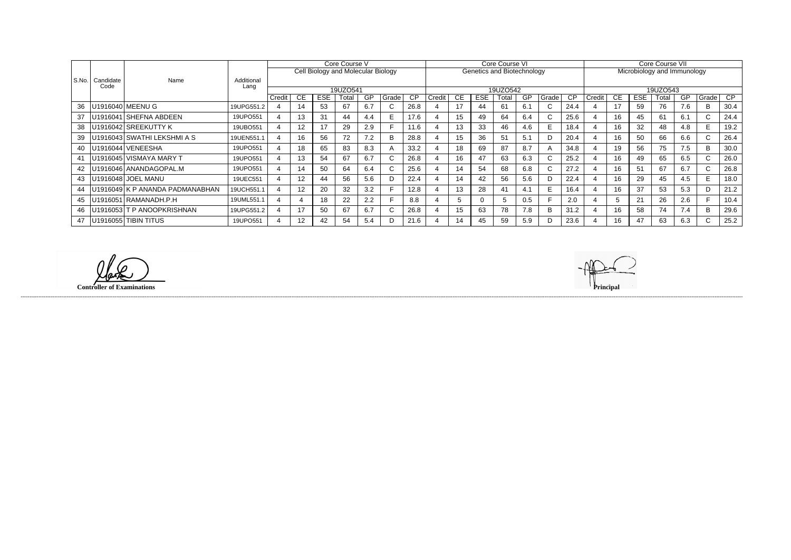|       |           | Name                            | Additional<br>Lang | Core Course V<br>Cell Biology and Molecular Biology |                 |            |       |           |             |                 |        |           |                            | Core Course VI |     |              |           | Core Course VII             |           |            |          |     |                                 |                 |  |  |
|-------|-----------|---------------------------------|--------------------|-----------------------------------------------------|-----------------|------------|-------|-----------|-------------|-----------------|--------|-----------|----------------------------|----------------|-----|--------------|-----------|-----------------------------|-----------|------------|----------|-----|---------------------------------|-----------------|--|--|
|       |           |                                 |                    |                                                     |                 |            |       |           |             |                 |        |           | Genetics and Biotechnology |                |     |              |           | Microbiology and Immunology |           |            |          |     |                                 |                 |  |  |
| S.No. | Candidate |                                 |                    |                                                     |                 |            |       |           |             |                 |        |           |                            |                |     |              |           |                             |           |            |          |     |                                 |                 |  |  |
|       | Code      |                                 |                    | 19UZO541                                            |                 |            |       |           |             |                 |        |           |                            | 19UZO542       |     |              |           |                             |           |            | 19UZO543 |     |                                 |                 |  |  |
|       |           |                                 |                    | Credit                                              | CE.             | <b>ESE</b> | Гоtal | <b>GP</b> | Grade       | $\overline{CP}$ | Credit | <b>CE</b> | <b>ESE</b>                 | Total          | GP  | Grade        | <b>CP</b> | Credit                      | <b>CE</b> | <b>ESE</b> | Total    | GP  | <sub>l</sub> Grade <sup>l</sup> | $\overline{CP}$ |  |  |
| 36    |           | U1916040 MEENU G                | 19UPG551.2         | 4                                                   | 14              | 53         | 67    | 6.7       |             | 26.8            |        | 17        | 44                         | 61             | 6.1 | $\mathsf{C}$ | 24.4      |                             | 17        | 59         | 76       | 7.6 | B                               | 30.4            |  |  |
| 37    |           | U1916041 SHEFNA ABDEEN          | 19UPO551           |                                                     | 13              | 31         | 44    | 4.4       |             | 17.6            |        | 15        | 49                         | 64             | 6.4 | U.           | 25.6      |                             | 16        | 45         | -61      | 6.1 | $\mathbf{C}$                    | 24.4            |  |  |
| 38    |           | U1916042 SREEKUTTY K            | 19UBO551           |                                                     | 12              | 17         | 29    | 2.9       |             | 11.6            |        | 13        | 33                         | 46             | 4.6 | E.           | 18.4      |                             | 16        | 32         | 48       | 4.8 | E.                              | 19.2            |  |  |
| 39    |           | U1916043 SWATHI LEKSHMI A S     | 19UEN551.1         | 4                                                   | 16              | 56         | 72    | 7.2       |             | 28.8            |        | 15        | 36                         | 51             | 5.1 | D            | 20.4      |                             | 16        | 50         | 66       | 6.6 | $\mathbf{C}$                    | 26.4            |  |  |
| 40    |           | U1916044 VENEESHA               | 19UPO551           |                                                     | 18              | 65         | 83    | 8.3       |             | 33.2            |        | 18        | 69                         | 87             | 8.7 | A            | 34.8      |                             | 19        | 56         | 75       | 7.5 | B.                              | 30.0            |  |  |
| 41    |           | U1916045 VISMAYA MARY T         | 19UPO551           | 4                                                   | 13              | 54         | 67    | 6.7       | $\sim$<br>U | 26.8            |        | 16        | 47                         | 63             | 6.3 | $\mathsf{C}$ | 25.2      |                             | 16        | 49         | 65       | 6.5 | $\mathbf{C}$                    | 26.0            |  |  |
| 42    |           | U1916046 ANANDAGOPAL.M          | 19UPO551           |                                                     | 14              | 50         | 64    | 6.4       | ◡           | 25.6            |        | 14        | 54                         | 68             | 6.8 | U.           | 27.2      |                             | 16        | 51         | 67       | 6.7 | C.                              | 26.8            |  |  |
| 43    |           | U1916048 JOEL MANU              | 19UEC551           |                                                     | 12 <sup>2</sup> | 44         | 56    | 5.6       |             | 22.4            |        | 14        | 42                         | 56             | 5.6 | D            | 22.4      |                             | 16        | 29         | 45       | 4.5 | E.                              | 18.0            |  |  |
|       |           | U1916049 K P ANANDA PADMANABHAN | 19UCH551.1         |                                                     | 12 <sup>°</sup> | 20         | 32    | 3.2       |             | 12.8            |        | 13        | 28                         | 41             | 4.1 | E.           | 16.4      |                             | 16        | 37         | 53       | 5.3 | D.                              | 21.2            |  |  |
| 45    |           | U1916051 RAMANADH.P.H           | 19UML551.1         | 4                                                   |                 | 18         | 22    | 2.2       |             | 8.8             |        | 5         | 0                          | 5              | 0.5 |              | 2.0       |                             |           | 21         | 26       | 2.6 |                                 | 10.4            |  |  |
| 46    |           | U1916053 T P ANOOPKRISHNAN      | 19UPG551.2         |                                                     | 17              | 50         | 67    | 6.7       |             | 26.8            |        | 15        | 63                         | 78             | 7.8 | B            | 31.2      |                             | 16        | 58         | 74       | 7.4 | B.                              | 29.6            |  |  |
| 47    |           | U1916055 TIBIN TITUS            | 19UPO551           |                                                     | 12 <sup>2</sup> | 42         | 54    | 5.4       |             | 21.6            |        | 14        | 45                         | 59             | 5.9 | D            | 23.6      |                             | 16        | 47         | 63       | 6.3 | C.                              | 25.2            |  |  |

**Controller of Examinations Principal**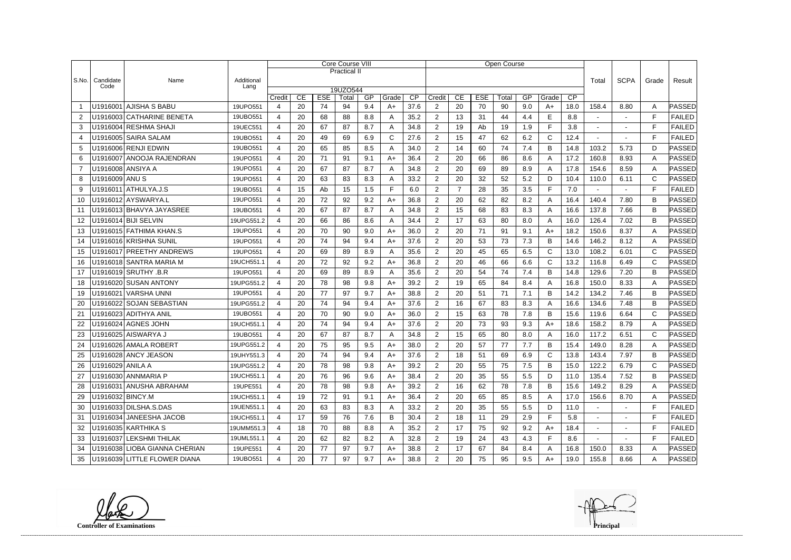|                |                   |                               | <b>Core Course VIII</b> |                                                            |           |    |                     |     |      |      |                          |                | <b>Open Course</b> |       |           |              |       |                |        |              |                |
|----------------|-------------------|-------------------------------|-------------------------|------------------------------------------------------------|-----------|----|---------------------|-----|------|------|--------------------------|----------------|--------------------|-------|-----------|--------------|-------|----------------|--------|--------------|----------------|
|                |                   |                               |                         |                                                            |           |    | <b>Practical II</b> |     |      |      |                          |                |                    |       |           |              |       |                |        |              |                |
| S.No.          | Candidate<br>Code | Name                          | Additional<br>Lang      |                                                            |           |    |                     |     |      |      |                          |                |                    |       |           |              | Total | <b>SCPA</b>    | Grade  | Result       |                |
|                |                   |                               |                         | 19UZO544<br><b>ESE</b><br>CP<br>CE<br>Total<br>GP<br>Grade |           |    |                     |     |      |      |                          | CE             | <b>ESE</b>         | Total | CP        |              |       |                |        |              |                |
|                |                   | U1916001 AJISHA S BABU        | 19UPO551                | Credit<br>4                                                | 20        | 74 | 94                  | 9.4 | $A+$ | 37.6 | Credit<br>$\overline{2}$ | 20             | 70                 | 90    | GP<br>9.0 | Grade<br>A+  | 18.0  | 158.4          | 8.80   | A            | PASSED         |
| 2              |                   | U1916003 CATHARINE BENETA     | 19UBO551                | $\overline{4}$                                             | 20        | 68 | 88                  | 8.8 | Α    | 35.2 | $\overline{2}$           | 13             | 31                 | 44    | 4.4       | E            | 8.8   |                |        | F            | <b>FAILED</b>  |
| 3              |                   | U1916004 RESHMA SHAJI         | 19UEC551                | $\overline{4}$                                             | 20        | 67 | 87                  | 8.7 | A    | 34.8 | 2                        | 19             | Ab                 | 19    | 1.9       | E            | 3.8   | $\blacksquare$ |        | F            | <b>FAILED</b>  |
| $\overline{4}$ |                   | U1916005 SAIRA SALAM          | 19UBO551                | 4                                                          | 20        | 49 | 69                  | 6.9 | C    | 27.6 | $\overline{2}$           | 15             | 47                 | 62    | 6.2       | $\mathsf{C}$ | 12.4  |                |        | E            | <b>FAILED</b>  |
| 5              |                   | U1916006 RENJI EDWIN          | 19UBO551                | 4                                                          | 20        | 65 | 85                  | 8.5 | A    | 34.0 | $\overline{2}$           | 14             | 60                 | 74    | 7.4       | B            | 14.8  | 103.2          | 5.73   | D            | PASSED         |
| 6              |                   | U1916007 ANOOJA RAJENDRAN     | 19UPO551                | 4                                                          | 20        | 71 | 91                  | 9.1 | $A+$ | 36.4 | $\overline{2}$           | 20             | 66                 | 86    | 8.6       | A            | 17.2  | 160.8          | 8.93   | A            | PASSED         |
| $\overline{7}$ |                   | U1916008 ANSIYA A             | 19UPO551                | 4                                                          | 20        | 67 | 87                  | 8.7 | Α    | 34.8 | $\overline{2}$           | 20             | 69                 | 89    | 8.9       | A            | 17.8  | 154.6          | 8.59   | A            | PASSED         |
| 8              | U1916009 ANU S    |                               | 19UPO551                | 4                                                          | 20        | 63 | 83                  | 8.3 | Α    | 33.2 | $\overline{2}$           | 20             | 32                 | 52    | 5.2       | D            | 10.4  | 110.0          | 6.11   | C            | PASSED         |
| 9              |                   | $U1916011$ ATHULYA.J.S        | 19UBO551                | 4                                                          | 15        | Ab | 15                  | 1.5 | F    | 6.0  | $\overline{2}$           | $\overline{7}$ | 28                 | 35    | 3.5       | F.           | 7.0   |                |        | E            | <b>FAILED</b>  |
| 10             |                   | U1916012 AYSWARYA.L           | 19UPO551                | 4                                                          | 20        | 72 | 92                  | 9.2 | $A+$ | 36.8 | $\overline{2}$           | 20             | 62                 | 82    | 8.2       | A            | 16.4  | 140.4          | 7.80   | B            | PASSED         |
| 11             |                   | U1916013 BHAVYA JAYASREE      | 19UBO551                | 4                                                          | 20        | 67 | 87                  | 8.7 | Α    | 34.8 | $\overline{2}$           | 15             | 68                 | 83    | 8.3       | A            | 16.6  | 137.8          | 7.66   | B            | <b>PASSED</b>  |
| 12             |                   | U1916014 BIJI SELVIN          | 19UPG551.2              | $\overline{4}$                                             | 20        | 66 | 86                  | 8.6 | A    | 34.4 | $\overline{2}$           | 17             | 63                 | 80    | 8.0       | A            | 16.0  | 126.4          | 7.02   | В            | PASSED         |
| 13             |                   | U1916015 FATHIMA KHAN.S       | 19UPO551                | 4                                                          | 20        | 70 | 90                  | 9.0 | $A+$ | 36.0 | 2                        | 20             | 71                 | 91    | 9.1       | A+           | 18.2  | 150.6          | 8.37   | A            | PASSED         |
| 14             |                   | U1916016 KRISHNA SUNIL        | 19UPO551                | 4                                                          | 20        | 74 | 94                  | 9.4 | $A+$ | 37.6 | $\overline{2}$           | 20             | 53                 | 73    | 7.3       | B            | 14.6  | 146.2          | 8.12   | A            | PASSED         |
| 15             |                   | U1916017 PREETHY ANDREWS      | 19UPO551                | 4                                                          | 20        | 69 | 89                  | 8.9 | A    | 35.6 | $\overline{c}$           | 20             | 45                 | 65    | 6.5       | $\mathsf{C}$ | 13.0  | 108.2          | 6.01   | C            | <b>PASSED</b>  |
| 16             |                   | U1916018 SANTRA MARIA M       | 19UCH551.1              | 4                                                          | 20        | 72 | 92                  | 9.2 | $A+$ | 36.8 | $\overline{2}$           | 20             | 46                 | 66    | 6.6       | $\mathsf{C}$ | 13.2  | 116.8          | 6.49   | $\mathsf{C}$ | PASSED         |
| 17             |                   | U1916019 SRUTHY .B.R          | 19UPO551                | 4                                                          | 20        | 69 | 89                  | 8.9 | Α    | 35.6 | $\overline{2}$           | 20             | 54                 | 74    | 7.4       | B            | 14.8  | 129.6          | 7.20   | B            | PASSED         |
| 18             |                   | U1916020 SUSAN ANTONY         | 19UPG551.2              | 4                                                          | 20        | 78 | 98                  | 9.8 | $A+$ | 39.2 | 2                        | 19             | 65                 | 84    | 8.4       | A            | 16.8  | 150.0          | 8.33   | A            | PASSED         |
| 19             |                   | U1916021 VARSHA UNNI          | 19UPO551                | 4                                                          | 20        | 77 | 97                  | 9.7 | $A+$ | 38.8 | $\overline{2}$           | 20             | 51                 | 71    | 7.1       | B            | 14.2  | 134.2          | 7.46   | B            | <b>PASSED</b>  |
| 20             |                   | U1916022 SOJAN SEBASTIAN      | 19UPG551.2              | $\overline{4}$                                             | 20        | 74 | 94                  | 9.4 | $A+$ | 37.6 | $\overline{c}$           | 16             | 67                 | 83    | 8.3       | A            | 16.6  | 134.6          | 7.48   | B            | <b>PASSED</b>  |
| 21             |                   | U1916023 ADITHYA ANIL         | 19UBO551                | 4                                                          | 20        | 70 | 90                  | 9.0 | $A+$ | 36.0 | $\overline{2}$           | 15             | 63                 | 78    | 7.8       | B            | 15.6  | 119.6          | 6.64   | $\mathsf{C}$ | PASSED         |
| 22             |                   | U1916024 AGNES JOHN           | 19UCH551.1              | 4                                                          | 20        | 74 | 94                  | 9.4 | $A+$ | 37.6 | $\overline{2}$           | 20             | 73                 | 93    | 9.3       | $A+$         | 18.6  | 158.2          | 8.79   | A            | PASSED         |
| 23             |                   | U1916025 AISWARYA J           | 19UBO551                | 4                                                          | 20        | 67 | 87                  | 8.7 | A    | 34.8 | $\overline{2}$           | 15             | 65                 | 80    | 8.0       | A            | 16.0  | 117.2          | 6.51   | C            | PASSED         |
| 24             |                   | U1916026 AMALA ROBERT         | 19UPG551.2              | 4                                                          | 20        | 75 | 95                  | 9.5 | $A+$ | 38.0 | $\overline{2}$           | 20             | 57                 | 77    | 7.7       | B            | 15.4  | 149.0          | 8.28   | Α            | PASSED         |
| 25             |                   | U1916028 ANCY JEASON          | 19UHY551.3              | 4                                                          | 20<br>$-$ | 74 | 94                  | 94  | $A+$ | 37.6 | C                        | 18             | 51                 | 69    | 6.9       | $\mathsf{C}$ | 13.8  | 143.4          | 7.97   | B            | $\sf{PASSED} $ |
| 26             | U1916029 ANILA A  |                               | 19UPG551.2              | 4                                                          | 20        | 78 | 98                  | 9.8 | $A+$ | 39.2 | $\overline{2}$           | 20             | 55                 | 75    | 7.5       | B            | 15.0  | 122.2          | 6.79   | C            | PASSED         |
| 27             |                   | U1916030 ANNMARIA P           | 19UCH551.1              | 4                                                          | 20        | 76 | 96                  | 9.6 | $A+$ | 38.4 | $\overline{2}$           | 20             | 35                 | 55    | 5.5       | D            | 11.0  | 135.4          | 7.52   | B            | <b>PASSED</b>  |
| 28             |                   | U1916031 ANUSHA ABRAHAM       | 19UPE551                | 4                                                          | 20        | 78 | 98                  | 9.8 | A+   | 39.2 | $\overline{2}$           | 16             | 62                 | 78    | 7.8       | B            | 15.6  | 149.2          | 8.29   | A            | PASSED         |
| 29             | U1916032 BINCY.M  |                               | 19UCH551.1              | $\overline{4}$                                             | 19        | 72 | 91                  | 9.1 | A+   | 36.4 | $\overline{2}$           | 20             | 65                 | 85    | 8.5       | A            | 17.0  | 156.6          | 8.70   | A            | PASSED         |
| 30             |                   | U1916033 DILSHA.S.DAS         | 19UEN551.1              | 4                                                          | 20        | 63 | 83                  | 8.3 | A    | 33.2 | $\overline{2}$           | 20             | 35                 | 55    | 5.5       | D            | 11.0  | $\sim$         | $\sim$ | F            | <b>FAILED</b>  |
| -31            |                   | U1916034 JANEESHA JACOB       | 19UCH551.1              | 4                                                          | 17        | 59 | 76                  | 7.6 | B    | 30.4 | $\overline{2}$           | 18             | 11                 | 29    | 2.9       | F            | 5.8   | $\sim$         |        | F            | <b>FAILED</b>  |
| 32             |                   | U1916035 KARTHIKA S           | 19UMM551.3              | $\overline{4}$                                             | 18        | 70 | 88                  | 8.8 | A    | 35.2 | $\overline{2}$           | 17             | 75                 | 92    | 9.2       | $A+$         | 18.4  | $\blacksquare$ |        | F            | <b>FAILED</b>  |
| 33             |                   | U1916037 LEKSHMI THILAK       | 19UML551.1              | 4                                                          | 20        | 62 | 82                  | 8.2 | A    | 32.8 | $\overline{2}$           | 19             | 24                 | 43    | 4.3       | F.           | 8.6   | $\blacksquare$ |        | F            | <b>FAILED</b>  |
| 34             |                   | U1916038 LIOBA GIANNA CHERIAN | 19UPE551                | 4                                                          | 20        | 77 | 97                  | 9.7 | $A+$ | 38.8 | $\overline{2}$           | 17             | 67                 | 84    | 8.4       | A            | 16.8  | 150.0          | 8.33   | A            | PASSED         |
| 35             |                   | U1916039 LITTLE FLOWER DIANA  | 19UBO551                | 4                                                          | 20        | 77 | 97                  | 9.7 | $A+$ | 38.8 | $\overline{2}$           | 20             | 75                 | 95    | 9.5       | A+           | 19.0  | 155.8          | 8.66   | A            | <b>PASSED</b>  |

**Controller of Examinations Principal**